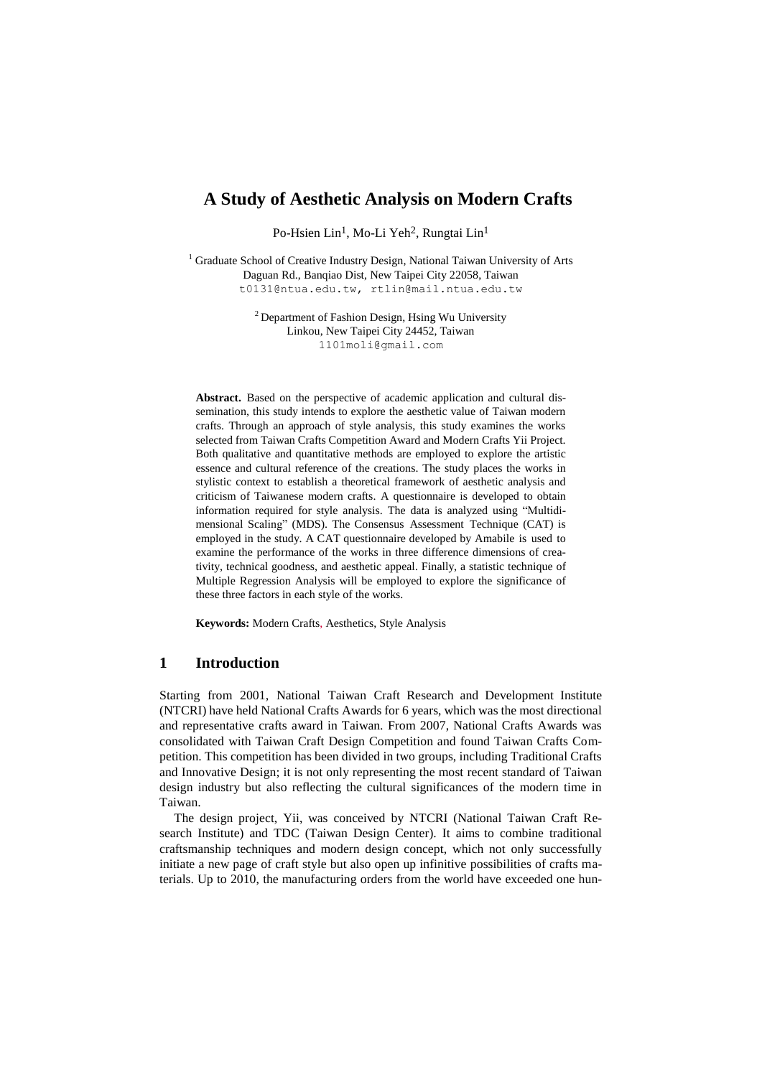# **A Study of Aesthetic Analysis on Modern Crafts**

Po-Hsien Lin<sup>1</sup>, Mo-Li Yeh<sup>2</sup>, Rungtai Lin<sup>1</sup>

<sup>1</sup> Graduate School of Creative Industry Design, National Taiwan University of Arts Daguan Rd., Banqiao Dist, New Taipei City 22058, Taiwan t0131@ntua.edu.tw, [rtlin@mail.ntua.edu.tw](mailto:rtlin@mail.ntua.edu.tw)

> <sup>2</sup> Department of Fashion Design, Hsing Wu University Linkou, New Taipei City 24452, Taiwan 1101moli@gmail.com

**Abstract.** Based on the perspective of academic application and cultural dissemination, this study intends to explore the aesthetic value of Taiwan modern crafts. Through an approach of style analysis, this study examines the works selected from Taiwan Crafts Competition Award and Modern Crafts Yii Project. Both qualitative and quantitative methods are employed to explore the artistic essence and cultural reference of the creations. The study places the works in stylistic context to establish a theoretical framework of aesthetic analysis and criticism of Taiwanese modern crafts. A questionnaire is developed to obtain information required for style analysis. The data is analyzed using "Multidimensional Scaling" (MDS). The Consensus Assessment Technique (CAT) is employed in the study. A CAT questionnaire developed by Amabile is used to examine the performance of the works in three difference dimensions of creativity, technical goodness, and aesthetic appeal. Finally, a statistic technique of Multiple Regression Analysis will be employed to explore the significance of these three factors in each style of the works.

**Keywords:** Modern Crafts, Aesthetics, Style Analysis

### **1 Introduction**

Starting from 2001, National Taiwan Craft Research and Development Institute (NTCRI) have held National Crafts Awards for 6 years, which was the most directional and representative crafts award in Taiwan. From 2007, National Crafts Awards was consolidated with Taiwan Craft Design Competition and found Taiwan Crafts Competition. This competition has been divided in two groups, including Traditional Crafts and Innovative Design; it is not only representing the most recent standard of Taiwan design industry but also reflecting the cultural significances of the modern time in Taiwan.

The design project, Yii, was conceived by NTCRI (National Taiwan Craft Research Institute) and TDC (Taiwan Design Center). It aims to combine traditional craftsmanship techniques and modern design concept, which not only successfully initiate a new page of craft style but also open up infinitive possibilities of crafts materials. Up to 2010, the manufacturing orders from the world have exceeded one hun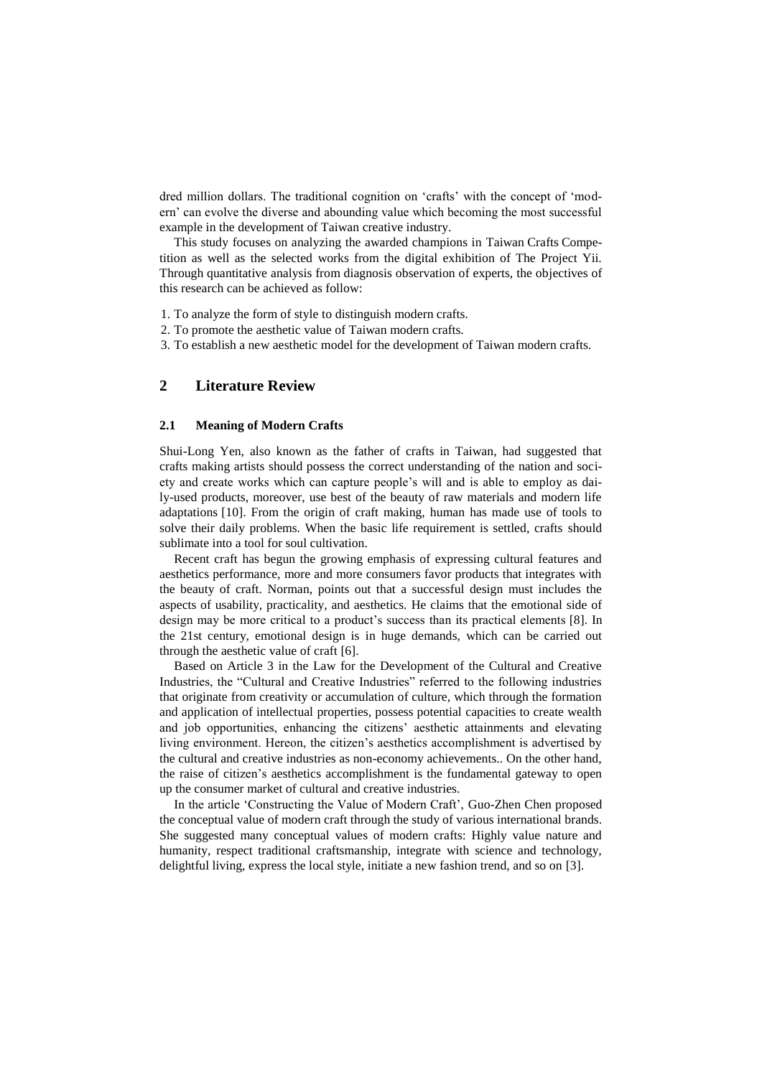dred million dollars. The traditional cognition on 'crafts' with the concept of 'modern' can evolve the diverse and abounding value which becoming the most successful example in the development of Taiwan creative industry.

This study focuses on analyzing the awarded champions in Taiwan Crafts Competition as well as the selected works from the digital exhibition of The Project Yii. Through quantitative analysis from diagnosis observation of experts, the objectives of this research can be achieved as follow:

- 1. To analyze the form of style to distinguish modern crafts.
- 2. To promote the aesthetic value of Taiwan modern crafts.
- 3. To establish a new aesthetic model for the development of Taiwan modern crafts.

# **2 Literature Review**

### **2.1 Meaning of Modern Crafts**

Shui-Long Yen, also known as the father of crafts in Taiwan, had suggested that crafts making artists should possess the correct understanding of the nation and society and create works which can capture people's will and is able to employ as daily-used products, moreover, use best of the beauty of raw materials and modern life adaptations [10]. From the origin of craft making, human has made use of tools to solve their daily problems. When the basic life requirement is settled, crafts should sublimate into a tool for soul cultivation.

Recent craft has begun the growing emphasis of expressing cultural features and aesthetics performance, more and more consumers favor products that integrates with the beauty of craft. Norman, points out that a successful design must includes the aspects of usability, practicality, and aesthetics. He claims that the emotional side of design may be more critical to a product's success than its practical elements [8]. In the 21st century, emotional design is in huge demands, which can be carried out through the aesthetic value of craft [6].

Based on Article 3 in the Law for the Development of the Cultural and Creative Industries, the "Cultural and Creative Industries" referred to the following industries that originate from creativity or accumulation of culture, which through the formation and application of intellectual properties, possess potential capacities to create wealth and job opportunities, enhancing the citizens' aesthetic attainments and elevating living environment. Hereon, the citizen's aesthetics accomplishment is advertised by the cultural and creative industries as non-economy achievements.. On the other hand, the raise of citizen's aesthetics accomplishment is the fundamental gateway to open up the consumer market of cultural and creative industries.

In the article 'Constructing the Value of Modern Craft', Guo-Zhen Chen proposed the conceptual value of modern craft through the study of various international brands. She suggested many conceptual values of modern crafts: Highly value nature and humanity, respect traditional craftsmanship, integrate with science and technology, delightful living, express the local style, initiate a new fashion trend, and so on [3].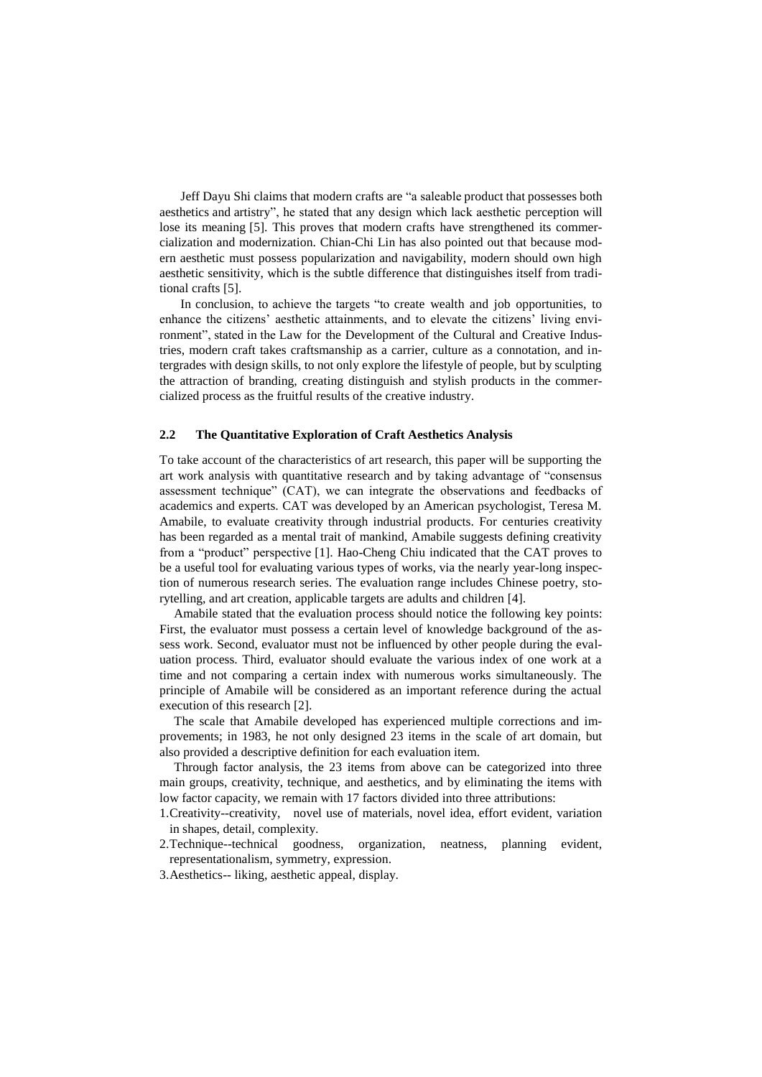Jeff Dayu Shi claims that modern crafts are "a saleable product that possesses both aesthetics and artistry", he stated that any design which lack aesthetic perception will lose its meaning [5]. This proves that modern crafts have strengthened its commercialization and modernization. Chian-Chi Lin has also pointed out that because modern aesthetic must possess popularization and navigability, modern should own high aesthetic sensitivity, which is the subtle difference that distinguishes itself from traditional crafts [5].

In conclusion, to achieve the targets "to create wealth and job opportunities, to enhance the citizens' aesthetic attainments, and to elevate the citizens' living environment", stated in the Law for the Development of the Cultural and Creative Industries, modern craft takes craftsmanship as a carrier, culture as a connotation, and intergrades with design skills, to not only explore the lifestyle of people, but by sculpting the attraction of branding, creating distinguish and stylish products in the commercialized process as the fruitful results of the creative industry.

#### **2.2 The Quantitative Exploration of Craft Aesthetics Analysis**

To take account of the characteristics of art research, this paper will be supporting the art work analysis with quantitative research and by taking advantage of "consensus assessment technique" (CAT), we can integrate the observations and feedbacks of academics and experts. CAT was developed by an American psychologist, Teresa M. Amabile, to evaluate creativity through industrial products. For centuries creativity has been regarded as a mental trait of mankind, Amabile suggests defining creativity from a "product" perspective [1]. Hao-Cheng Chiu indicated that the CAT proves to be a useful tool for evaluating various types of works, via the nearly year-long inspection of numerous research series. The evaluation range includes Chinese poetry, storytelling, and art creation, applicable targets are adults and children [4].

Amabile stated that the evaluation process should notice the following key points: First, the evaluator must possess a certain level of knowledge background of the assess work. Second, evaluator must not be influenced by other people during the evaluation process. Third, evaluator should evaluate the various index of one work at a time and not comparing a certain index with numerous works simultaneously. The principle of Amabile will be considered as an important reference during the actual execution of this research [2].

The scale that Amabile developed has experienced multiple corrections and improvements; in 1983, he not only designed 23 items in the scale of art domain, but also provided a descriptive definition for each evaluation item.

Through factor analysis, the 23 items from above can be categorized into three main groups, creativity, technique, and aesthetics, and by eliminating the items with low factor capacity, we remain with 17 factors divided into three attributions:

- 1.Creativity--creativity, novel use of materials, novel idea, effort evident, variation in shapes, detail, complexity.
- 2.Technique--technical goodness, organization, neatness, planning evident, representationalism, symmetry, expression.

3.Aesthetics-- liking, aesthetic appeal, display.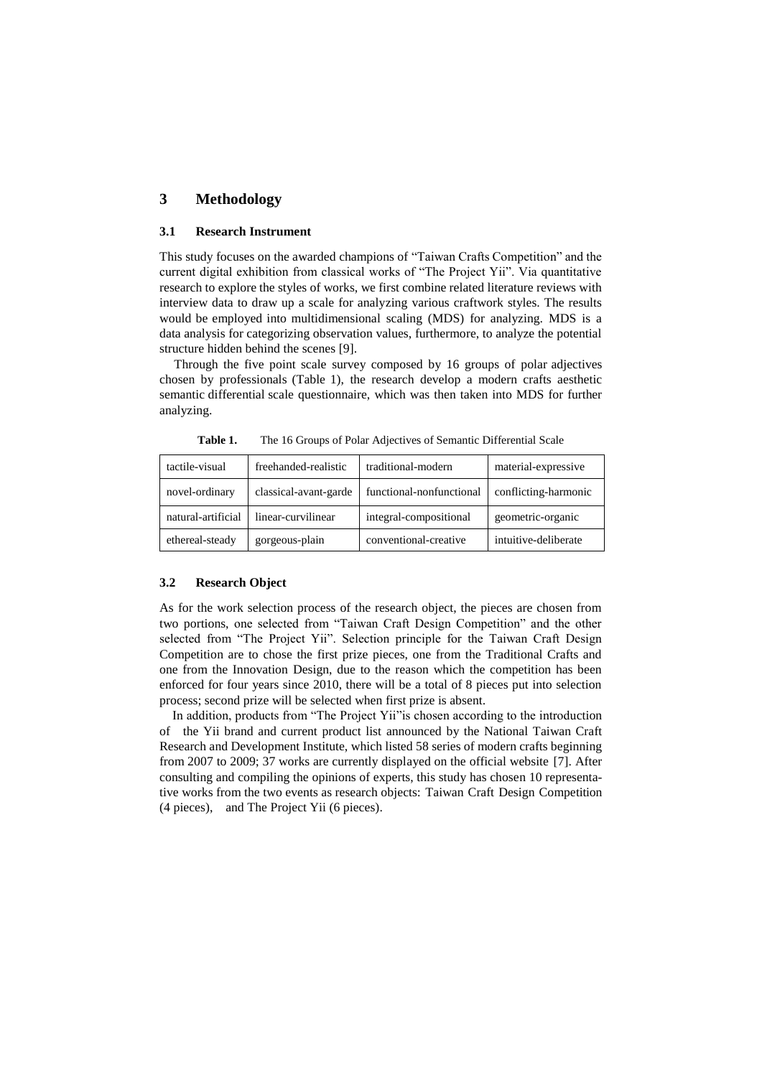# **3 Methodology**

#### **3.1 Research Instrument**

This study focuses on the awarded champions of "Taiwan Crafts Competition" and the current digital exhibition from classical works of "The Project Yii". Via quantitative research to explore the styles of works, we first combine related literature reviews with interview data to draw up a scale for analyzing various craftwork styles. The results would be employed into multidimensional scaling (MDS) for analyzing. MDS is a data analysis for categorizing observation values, furthermore, to analyze the potential structure hidden behind the scenes [9].

Through the five point scale survey composed by 16 groups of polar adjectives chosen by professionals (Table 1), the research develop a modern crafts aesthetic semantic differential scale questionnaire, which was then taken into MDS for further analyzing.

| tactile-visual     | freehanded-realistic  | traditional-modern       | material-expressive  |  |
|--------------------|-----------------------|--------------------------|----------------------|--|
| novel-ordinary     | classical-avant-garde | functional-nonfunctional | conflicting-harmonic |  |
| natural-artificial | linear-curvilinear    | integral-compositional   | geometric-organic    |  |
| ethereal-steady    | gorgeous-plain        | conventional-creative    | intuitive-deliberate |  |

Table 1. The 16 Groups of Polar Adjectives of Semantic Differential Scale

### **3.2 Research Object**

As for the work selection process of the research object, the pieces are chosen from two portions, one selected from "Taiwan Craft Design Competition" and the other selected from "The Project Yii". Selection principle for the Taiwan Craft Design Competition are to chose the first prize pieces, one from the Traditional Crafts and one from the Innovation Design, due to the reason which the competition has been enforced for four years since 2010, there will be a total of 8 pieces put into selection process; second prize will be selected when first prize is absent.

 In addition, products from "The Project Yii"is chosen according to the introduction of the Yii brand and current product list announced by the National Taiwan Craft Research and Development Institute, which listed 58 series of modern crafts beginning from 2007 to 2009; 37 works are currently displayed on the official website [7]. After consulting and compiling the opinions of experts, this study has chosen 10 representative works from the two events as research objects: Taiwan Craft Design Competition (4 pieces), and The Project Yii (6 pieces).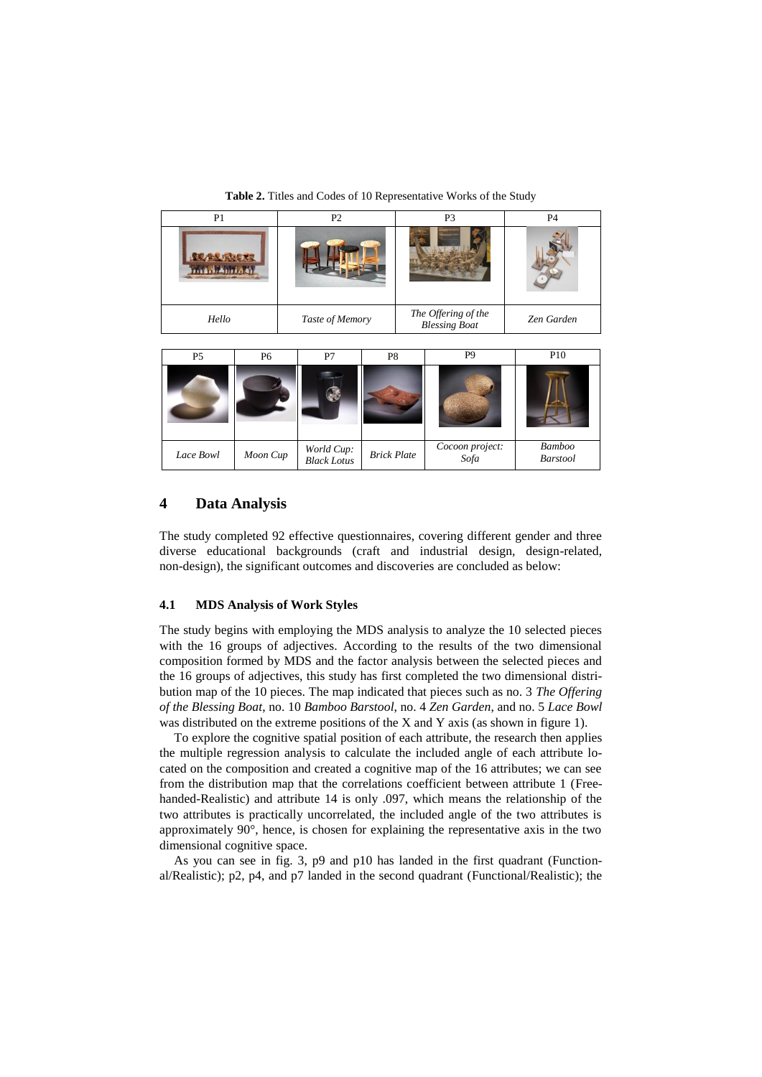| P <sub>1</sub>                   |          | P <sub>2</sub>                   |                    | P <sub>3</sub>                              |                         | P <sub>4</sub>                   |  |  |
|----------------------------------|----------|----------------------------------|--------------------|---------------------------------------------|-------------------------|----------------------------------|--|--|
|                                  |          |                                  |                    |                                             |                         |                                  |  |  |
| Hello                            |          | Taste of Memory                  |                    | The Offering of the<br><b>Blessing Boat</b> |                         | Zen Garden                       |  |  |
|                                  |          |                                  |                    |                                             |                         |                                  |  |  |
| P <sub>5</sub><br>P <sub>6</sub> |          | P7                               | P <sub>8</sub>     |                                             | P <sub>9</sub>          | P10                              |  |  |
|                                  |          |                                  |                    |                                             |                         |                                  |  |  |
| Lace Bowl                        | Moon Cup | World Cup:<br><b>Black Lotus</b> | <b>Brick Plate</b> |                                             | Cocoon project:<br>Sofa | <b>Bamboo</b><br><b>Barstool</b> |  |  |

**Table 2.** Titles and Codes of 10 Representative Works of the Study

## **4 Data Analysis**

The study completed 92 effective questionnaires, covering different gender and three diverse educational backgrounds (craft and industrial design, design-related, non-design), the significant outcomes and discoveries are concluded as below:

### **4.1 MDS Analysis of Work Styles**

The study begins with employing the MDS analysis to analyze the 10 selected pieces with the 16 groups of adjectives. According to the results of the two dimensional composition formed by MDS and the factor analysis between the selected pieces and the 16 groups of adjectives, this study has first completed the two dimensional distribution map of the 10 pieces. The map indicated that pieces such as no. 3 *The Offering of the Blessing Boat*, no. 10 *Bamboo Barstool*, no. 4 *Zen Garden*, and no. 5 *Lace Bowl* was distributed on the extreme positions of the X and Y axis (as shown in figure 1).

To explore the cognitive spatial position of each attribute, the research then applies the multiple regression analysis to calculate the included angle of each attribute located on the composition and created a cognitive map of the 16 attributes; we can see from the distribution map that the correlations coefficient between attribute 1 (Freehanded-Realistic) and attribute 14 is only .097, which means the relationship of the two attributes is practically uncorrelated, the included angle of the two attributes is approximately 90°, hence, is chosen for explaining the representative axis in the two dimensional cognitive space.

As you can see in fig. 3, p9 and p10 has landed in the first quadrant (Functional/Realistic); p2, p4, and p7 landed in the second quadrant (Functional/Realistic); the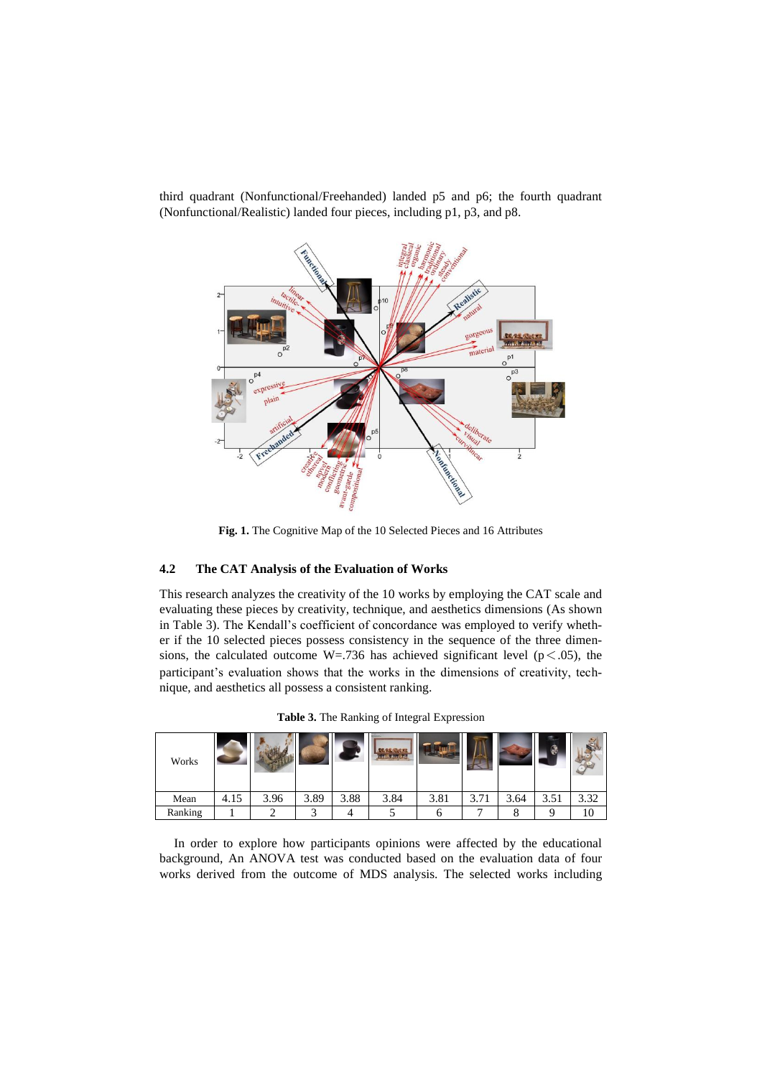

third quadrant (Nonfunctional/Freehanded) landed p5 and p6; the fourth quadrant (Nonfunctional/Realistic) landed four pieces, including p1, p3, and p8.

**Fig. 1.** The Cognitive Map of the 10 Selected Pieces and 16 Attributes

## **4.2 The CAT Analysis of the Evaluation of Works**

This research analyzes the creativity of the 10 works by employing the CAT scale and evaluating these pieces by creativity, technique, and aesthetics dimensions (As shown in Table 3). The Kendall's coefficient of concordance was employed to verify whether if the 10 selected pieces possess consistency in the sequence of the three dimensions, the calculated outcome W=.736 has achieved significant level ( $p < .05$ ), the participant's evaluation shows that the works in the dimensions of creativity, technique, and aesthetics all possess a consistent ranking.

|       |  |  | $-$<br>$\sim$ |  |                   |  |
|-------|--|--|---------------|--|-------------------|--|
| Works |  |  |               |  | ÷<br><b>STATE</b> |  |

**Table 3.** The Ranking of Integral Expression

In order to explore how participants opinions were affected by the educational background, An ANOVA test was conducted based on the evaluation data of four works derived from the outcome of MDS analysis. The selected works including

Mean | 4.15 | 3.96 | 3.89 | 3.88 | 3.84 | 3.81 | 3.71 | 3.64 | 3.51 | 3.32 Ranking | 1 | 2 | 3 | 4 | 5 | 6 | 7 | 8 | 9 | 10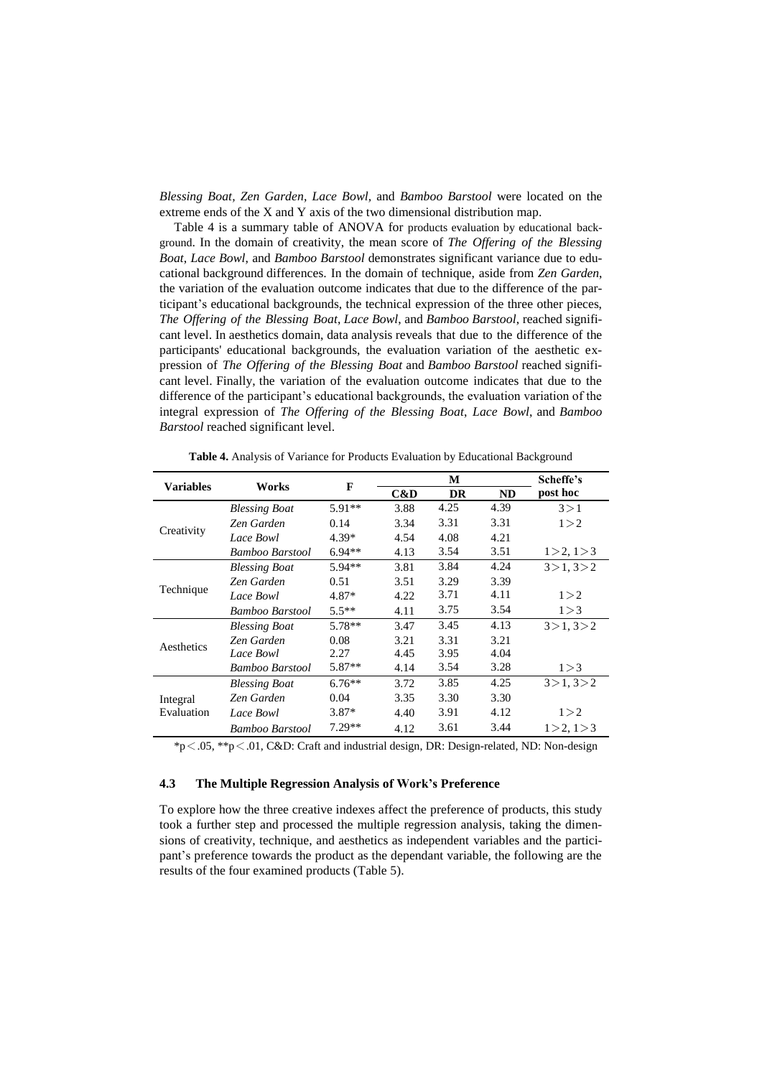*Blessing Boat, Zen Garden, Lace Bowl,* and *Bamboo Barstool* were located on the extreme ends of the X and Y axis of the two dimensional distribution map.

Table 4 is a summary table of ANOVA for products evaluation by educational background. In the domain of creativity, the mean score of *The Offering of the Blessing Boat*, *Lace Bowl*, and *Bamboo Barstool* demonstrates significant variance due to educational background differences. In the domain of technique, aside from *Zen Garden*, the variation of the evaluation outcome indicates that due to the difference of the participant's educational backgrounds, the technical expression of the three other pieces, *The Offering of the Blessing Boat*, *Lace Bowl*, and *Bamboo Barstool*, reached significant level. In aesthetics domain, data analysis reveals that due to the difference of the participants' educational backgrounds, the evaluation variation of the aesthetic expression of *The Offering of the Blessing Boat* and *Bamboo Barstool* reached significant level. Finally, the variation of the evaluation outcome indicates that due to the difference of the participant's educational backgrounds, the evaluation variation of the integral expression of *The Offering of the Blessing Boat*, *Lace Bowl*, and *Bamboo Barstool* reached significant level.

| <b>Variables</b>       | Works                  | F        |      | М         | Scheffe's |              |
|------------------------|------------------------|----------|------|-----------|-----------|--------------|
|                        |                        |          | C&D  | <b>DR</b> | <b>ND</b> | post hoc     |
|                        | <b>Blessing Boat</b>   | $5.91**$ | 3.88 | 4.25      | 4.39      | 3 > 1        |
| Creativity             | Zen Garden             | 0.14     | 3.34 | 3.31      | 3.31      | 1 > 2        |
|                        | Lace Bowl              | $4.39*$  | 4.54 | 4.08      | 4.21      |              |
|                        | <b>Bamboo Barstool</b> | $6.94**$ | 4.13 | 3.54      | 3.51      | 1 > 2, 1 > 3 |
|                        | <b>Blessing Boat</b>   | 5.94**   | 3.81 | 3.84      | 4.24      | 3 > 1, 3 > 2 |
|                        | Zen Garden             | 0.51     | 3.51 | 3.29      | 3.39      |              |
| Technique              | Lace Bowl              | 4.87*    | 4.22 | 3.71      | 4.11      | 1 > 2        |
|                        | <b>Bamboo Barstool</b> | $5.5**$  | 4.11 | 3.75      | 3.54      | 1 > 3        |
|                        | <b>Blessing Boat</b>   | 5.78**   | 3.47 | 3.45      | 4.13      | 3 > 1, 3 > 2 |
| Aesthetics             | Zen Garden             | 0.08     | 3.21 | 3.31      | 3.21      |              |
|                        | Lace Bowl              | 2.27     | 4.45 | 3.95      | 4.04      |              |
|                        | <b>Bamboo Barstool</b> | $5.87**$ | 4.14 | 3.54      | 3.28      | 1 > 3        |
| Integral<br>Evaluation | <b>Blessing Boat</b>   | $6.76**$ | 3.72 | 3.85      | 4.25      | 3 > 1, 3 > 2 |
|                        | Zen Garden             | 0.04     | 3.35 | 3.30      | 3.30      |              |
|                        | Lace Bowl              | $3.87*$  | 4.40 | 3.91      | 4.12      | 1 > 2        |
|                        | <b>Bamboo Barstool</b> | $7.29**$ | 4.12 | 3.61      | 3.44      | 1 > 2, 1 > 3 |

Table 4. Analysis of Variance for Products Evaluation by Educational Background

\*p<.05, \*\*p<.01, C&D: Craft and industrial design, DR: Design-related, ND: Non-design

### **4.3 The Multiple Regression Analysis of Work's Preference**

To explore how the three creative indexes affect the preference of products, this study took a further step and processed the multiple regression analysis, taking the dimensions of creativity, technique, and aesthetics as independent variables and the participant's preference towards the product as the dependant variable, the following are the results of the four examined products (Table 5).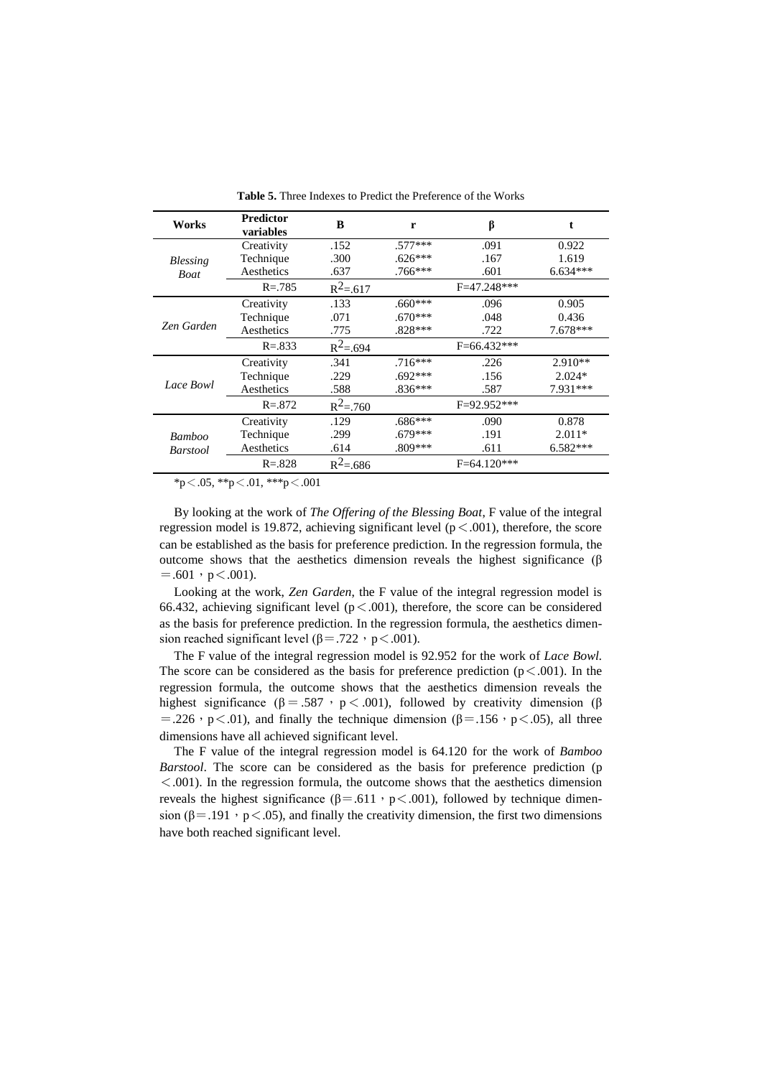| Works                            | <b>Predictor</b><br>variables | B            | r         | ß               |            |
|----------------------------------|-------------------------------|--------------|-----------|-----------------|------------|
|                                  | Creativity                    | .152         | $.577***$ | .091            | 0.922      |
| <b>Blessing</b>                  | Technique                     | .300         | $.626***$ | .167            | 1.619      |
| Boat                             | Aesthetics                    | .637         | $.766***$ | .601            | $6.634***$ |
|                                  | $R = 785$                     | $R^2 = 617$  |           | $F = 47.248***$ |            |
| Zen Garden                       | Creativity                    | .133         | $.660***$ | .096            | 0.905      |
|                                  | Technique                     | .071         | $.670***$ | .048            | 0.436      |
|                                  | Aesthetics                    | .775         | .828***   | .722            | 7.678***   |
|                                  | $R = 833$                     | $R^2 = .694$ |           | $F=66.432***$   |            |
|                                  | Creativity                    | .341         | $.716***$ | .226            | $2.910**$  |
|                                  | Technique                     | .229         | $.692***$ | .156            | $2.024*$   |
| Lace Bowl                        | Aesthetics                    | .588         | $.836***$ | .587            | 7.931***   |
|                                  | $R = 0.872$                   | $R^2 = 760$  |           | F=92.952***     |            |
| <b>Bamboo</b><br><b>Barstool</b> | Creativity                    | .129         | $.686***$ | .090            | 0.878      |
|                                  | Technique                     | .299         | $.679***$ | .191            | $2.011*$   |
|                                  | Aesthetics                    | .614         | $.809***$ | .611            | $6.582***$ |
|                                  | $R = 828$                     | $R^2 = .686$ |           | F=64.120***     |            |

**Table 5.** Three Indexes to Predict the Preference of the Works

 $*p<.05$ ,  $*p<.01$ ,  $***p<.001$ 

By looking at the work of *The Offering of the Blessing Boat*, F value of the integral regression model is 19.872, achieving significant level ( $p < .001$ ), therefore, the score can be established as the basis for preference prediction. In the regression formula, the outcome shows that the aesthetics dimension reveals the highest significance (β  $= .601$ ,  $p < .001$ ).

Looking at the work, *Zen Garden*, the F value of the integral regression model is 66.432, achieving significant level ( $p < .001$ ), therefore, the score can be considered as the basis for preference prediction. In the regression formula, the aesthetics dimension reached significant level ( $\beta$ =.722, p <.001).

The F value of the integral regression model is 92.952 for the work of *Lace Bowl.* The score can be considered as the basis for preference prediction ( $p < .001$ ). In the regression formula, the outcome shows that the aesthetics dimension reveals the highest significance ( $\beta = .587$ ,  $p < .001$ ), followed by creativity dimension ( $\beta$ =.226, p <.01), and finally the technique dimension ( $\beta$ =.156, p <.05), all three dimensions have all achieved significant level.

The F value of the integral regression model is 64.120 for the work of *Bamboo Barstool*. The score can be considered as the basis for preference prediction (p  $\leq$ .001). In the regression formula, the outcome shows that the aesthetics dimension reveals the highest significance ( $\beta$  = .611, p < .001), followed by technique dimension ( $\beta$ =.191,  $\gamma$   $\ge$ .05), and finally the creativity dimension, the first two dimensions have both reached significant level.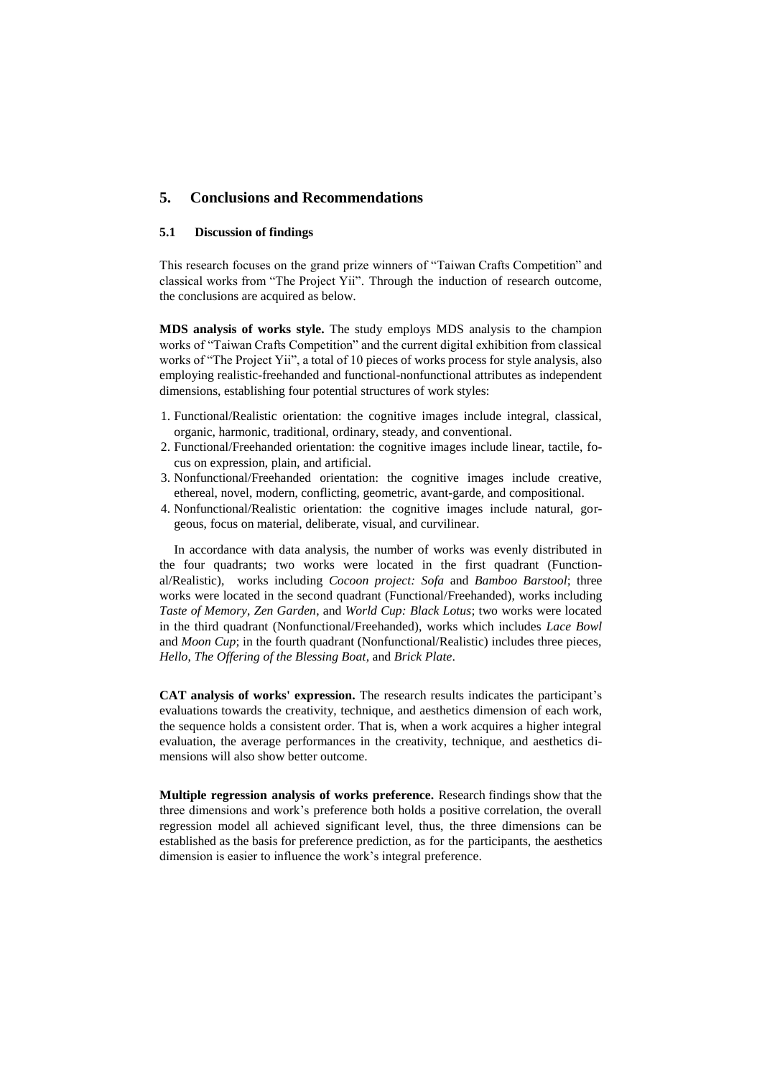## **5. Conclusions and Recommendations**

### **5.1 Discussion of findings**

This research focuses on the grand prize winners of "Taiwan Crafts Competition" and classical works from "The Project Yii". Through the induction of research outcome, the conclusions are acquired as below.

**MDS analysis of works style.** The study employs MDS analysis to the champion works of "Taiwan Crafts Competition" and the current digital exhibition from classical works of "The Project Yii", a total of 10 pieces of works process for style analysis, also employing realistic-freehanded and functional-nonfunctional attributes as independent dimensions, establishing four potential structures of work styles:

- 1. Functional/Realistic orientation: the cognitive images include integral, classical, organic, harmonic, traditional, ordinary, steady, and conventional.
- 2. Functional/Freehanded orientation: the cognitive images include linear, tactile, focus on expression, plain, and artificial.
- 3. Nonfunctional/Freehanded orientation: the cognitive images include creative, ethereal, novel, modern, conflicting, geometric, avant-garde, and compositional.
- 4. Nonfunctional/Realistic orientation: the cognitive images include natural, gorgeous, focus on material, deliberate, visual, and curvilinear.

In accordance with data analysis, the number of works was evenly distributed in the four quadrants; two works were located in the first quadrant (Functional/Realistic), works including *Cocoon project: Sofa* and *Bamboo Barstool*; three works were located in the second quadrant (Functional/Freehanded), works including *Taste of Memory*, *Zen Garden*, and *World Cup: Black Lotus*; two works were located in the third quadrant (Nonfunctional/Freehanded), works which includes *Lace Bowl* and *Moon Cup*; in the fourth quadrant (Nonfunctional/Realistic) includes three pieces, *Hello*, *The Offering of the Blessing Boat*, and *Brick Plate*.

**CAT analysis of works' expression.** The research results indicates the participant's evaluations towards the creativity, technique, and aesthetics dimension of each work, the sequence holds a consistent order. That is, when a work acquires a higher integral evaluation, the average performances in the creativity, technique, and aesthetics dimensions will also show better outcome.

**Multiple regression analysis of works preference.** Research findings show that the three dimensions and work's preference both holds a positive correlation, the overall regression model all achieved significant level, thus, the three dimensions can be established as the basis for preference prediction, as for the participants, the aesthetics dimension is easier to influence the work's integral preference.